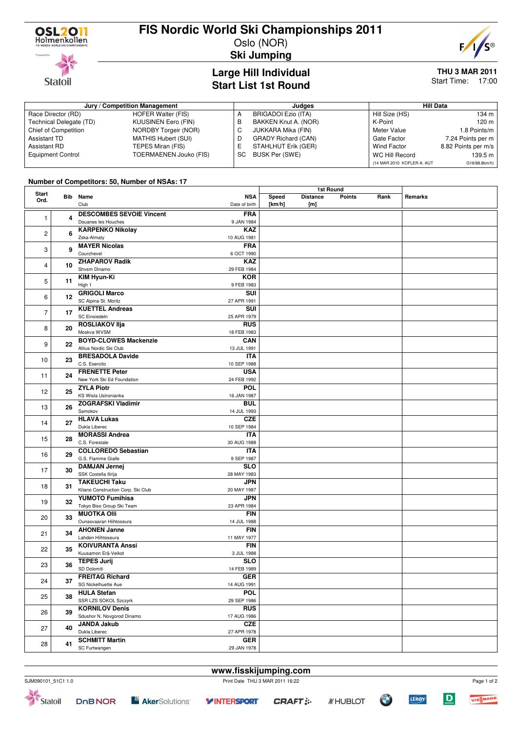

**Statoil** 

# **FIS Nordic World Ski Championships 2011**

Oslo (NOR) **Ski Jumping**



**THU 3 MAR 2011**

Start Time: 17:00

# **Large Hill Individual**

|  | <b>Start List 1st Round</b> |  |
|--|-----------------------------|--|
|  |                             |  |
|  |                             |  |

| Jury / Competition Management |                            |    | Judaes                     | Hill Data                  |                     |
|-------------------------------|----------------------------|----|----------------------------|----------------------------|---------------------|
| Race Director (RD)            | HOFER Walter (FIS)         | А  | BRIGADOI Ezio (ITA)        | Hill Size (HS)             | 134 m               |
| Technical Delegate (TD)       | <b>KUUSINEN Eero (FIN)</b> | В  | BAKKEN Knut A. (NOR)       | K-Point                    | 120 m               |
| Chief of Competition          | NORDBY Torgeir (NOR)       |    | JUKKARA Mika (FIN)         | Meter Value                | 1.8 Points/m        |
| <b>Assistant TD</b>           | MATHIS Hubert (SUI)        | D  | <b>GRADY Richard (CAN)</b> | Gate Factor                | 7.24 Points per m   |
| Assistant RD                  | TEPES Miran (FIS)          | ь. | STAHLHUT Erik (GER)        | <b>Wind Factor</b>         | 8.82 Points per m/s |
| <b>Equipment Control</b>      | TOERMAENEN Jouko (FIS)     | SC | BUSK Per (SWE)             | WC Hill Record             | 139.5 m             |
|                               |                            |    |                            | (14 MAR 2010 KOFLER A, AUT | G16/88.8km/h)       |

### **Number of Competitors: 50, Number of NSAs: 17**

|                | <b>NUMBER OF SOMPOMOTOL 00, NUMBER OF NUMBER</b> |                                                            | 1st Round                   |                 |                        |               |      |         |
|----------------|--------------------------------------------------|------------------------------------------------------------|-----------------------------|-----------------|------------------------|---------------|------|---------|
| Start<br>Ord.  |                                                  | <b>Bib</b> Name<br>Club                                    | <b>NSA</b><br>Date of birth | Speed<br>[km/h] | <b>Distance</b><br>[m] | <b>Points</b> | Rank | Remarks |
| $\mathbf{1}$   | 4                                                | <b>DESCOMBES SEVOIE Vincent</b><br>Douanes les Houches     | <b>FRA</b><br>9 JAN 1984    |                 |                        |               |      |         |
| $\overline{c}$ | 6                                                | <b>KARPENKO Nikolay</b><br>Zska-Almaty                     | <b>KAZ</b><br>10 AUG 1981   |                 |                        |               |      |         |
| 3              | 9                                                | <b>MAYER Nicolas</b><br>Courchevel                         | <b>FRA</b><br>6 OCT 1990    |                 |                        |               |      |         |
| 4              | 10                                               | <b>ZHAPAROV Radik</b><br>Shvsm Dinamo                      | <b>KAZ</b><br>29 FEB 1984   |                 |                        |               |      |         |
| 5              | 11                                               | KIM Hyun-Ki<br>High 1                                      | <b>KOR</b><br>9 FEB 1983    |                 |                        |               |      |         |
| 6              | 12                                               | <b>GRIGOLI Marco</b><br>SC Alpina St. Moritz               | SUI<br>27 APR 1991          |                 |                        |               |      |         |
| $\overline{7}$ | 17                                               | <b>KUETTEL Andreas</b><br>SC Einsiedeln                    | SUI<br>25 APR 1979          |                 |                        |               |      |         |
| 8              | 20                                               | <b>ROSLIAKOV IIja</b><br>Moskva WVSM                       | <b>RUS</b><br>18 FEB 1983   |                 |                        |               |      |         |
| 9              | 22                                               | <b>BOYD-CLOWES Mackenzie</b><br>Altius Nordic Ski Club     | <b>CAN</b><br>13 JUL 1991   |                 |                        |               |      |         |
| 10             | 23                                               | <b>BRESADOLA Davide</b><br>C.S. Esercito                   | <b>ITA</b><br>10 SEP 1988   |                 |                        |               |      |         |
| 11             | 24                                               | <b>FRENETTE Peter</b><br>New York Ski Ed Foundation        | <b>USA</b><br>24 FEB 1992   |                 |                        |               |      |         |
| 12             | 25                                               | <b>ZYLA Piotr</b><br>KS Wisla Ustronianka                  | <b>POL</b><br>16 JAN 1987   |                 |                        |               |      |         |
| 13             | 26                                               | <b>ZOGRAFSKI Vladimir</b><br>Samokov                       | <b>BUL</b><br>14 JUL 1993   |                 |                        |               |      |         |
| 14             | 27                                               | <b>HLAVA Lukas</b><br>Dukla Liberec                        | <b>CZE</b><br>10 SEP 1984   |                 |                        |               |      |         |
| 15             | 28                                               | <b>MORASSI Andrea</b><br>C.S. Forestale                    | <b>ITA</b><br>30 AUG 1988   |                 |                        |               |      |         |
| 16             | 29                                               | <b>COLLOREDO Sebastian</b><br>G.S. Fiamme Gialle           | <b>ITA</b><br>9 SEP 1987    |                 |                        |               |      |         |
| 17             | 30                                               | <b>DAMJAN Jernej</b><br>SSK Costella Ilirija               | <b>SLO</b><br>28 MAY 1983   |                 |                        |               |      |         |
| 18             | 31                                               | <b>TAKEUCHI Taku</b><br>Kitano Construction Corp. Ski Club | <b>JPN</b><br>20 MAY 1987   |                 |                        |               |      |         |
| 19             | 32                                               | <b>YUMOTO Fumihisa</b><br>Tokyo Biso Group Ski Team        | <b>JPN</b><br>23 APR 1984   |                 |                        |               |      |         |
| 20             | 33                                               | <b>MUOTKA Olli</b><br>Ounasvaaran Hiihtoseura              | <b>FIN</b><br>14 JUL 1988   |                 |                        |               |      |         |
| 21             | 34                                               | <b>AHONEN Janne</b><br>Lahden Hiihtoseura                  | <b>FIN</b><br>11 MAY 1977   |                 |                        |               |      |         |
| 22             | 35                                               | <b>KOIVURANTA Anssi</b><br>Kuusamon Erä-Veikot             | <b>FIN</b><br>3 JUL 1988    |                 |                        |               |      |         |
| 23             | 36                                               | <b>TEPES Jurij</b><br>SD Dolomiti                          | <b>SLO</b><br>14 FEB 1989   |                 |                        |               |      |         |
| 24             | 37                                               | <b>FREITAG Richard</b><br>SG Nickelhuette Aue              | <b>GER</b><br>14 AUG 1991   |                 |                        |               |      |         |
| 25             | 38                                               | <b>HULA Stefan</b><br>SSR LZS SOKOL Szczyrk                | <b>POL</b><br>29 SEP 1986   |                 |                        |               |      |         |
| 26             | 39                                               | <b>KORNILOV Denis</b><br>Sdushor N. Novgorod Dinamo        | <b>RUS</b><br>17 AUG 1986   |                 |                        |               |      |         |
| 27             | 40                                               | <b>JANDA Jakub</b><br>Dukla Liberec                        | <b>CZE</b><br>27 APR 1978   |                 |                        |               |      |         |
| 28             | 41                                               | <b>SCHMITT Martin</b><br>SC Furtwangen                     | <b>GER</b><br>29 JAN 1978   |                 |                        |               |      |         |

**www.fisskijumping.com**





 $\overline{D}$ 

**LERØY**